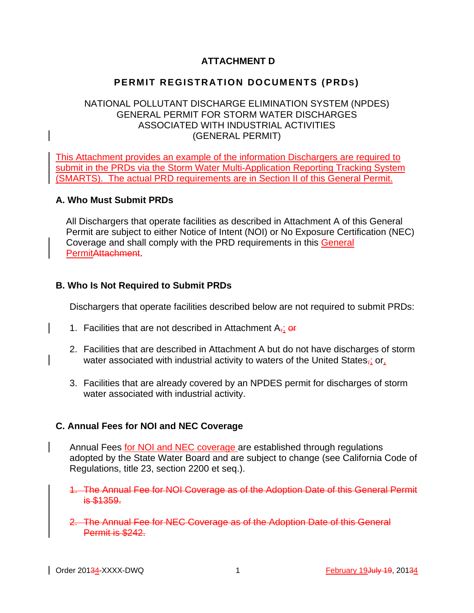# **ATTACHMENT D**

# **PERMIT REGISTRATION DOCUMENTS (PRDS)**

### NATIONAL POLLUTANT DISCHARGE ELIMINATION SYSTEM (NPDES) GENERAL PERMIT FOR STORM WATER DISCHARGES ASSOCIATED WITH INDUSTRIAL ACTIVITIES (GENERAL PERMIT)

This Attachment provides an example of the information Dischargers are required to submit in the PRDs via the Storm Water Multi-Application Reporting Tracking System (SMARTS). The actual PRD requirements are in Section II of this General Permit.

### **A. Who Must Submit PRDs**

 All Dischargers that operate facilities as described in Attachment A of this General Permit are subject to either Notice of Intent (NOI) or No Exposure Certification (NEC) Coverage and shall comply with the PRD requirements in this General PermitAttachment.

### **B. Who Is Not Required to Submit PRDs**

Dischargers that operate facilities described below are not required to submit PRDs:

- 1. Facilities that are not described in Attachment  $A_{\tau}$ ; or
- 2. Facilities that are described in Attachment A but do not have discharges of storm water associated with industrial activity to waters of the United States<sub>7</sub>; or,
- 3. Facilities that are already covered by an NPDES permit for discharges of storm water associated with industrial activity.

### **C. Annual Fees for NOI and NEC Coverage**

Annual Fees for NOI and NEC coverage are established through regulations adopted by the State Water Board and are subject to change (see California Code of Regulations, title 23, section 2200 et seq.).

1. The Annual Fee for NOI Coverage as of the Adoption Date of this General Permit is \$1359.

2. The Annual Fee for NEC Coverage as of the Adoption Date of this General Permit is \$242.

Archives 2013 1 February 19 July 19, 2013 1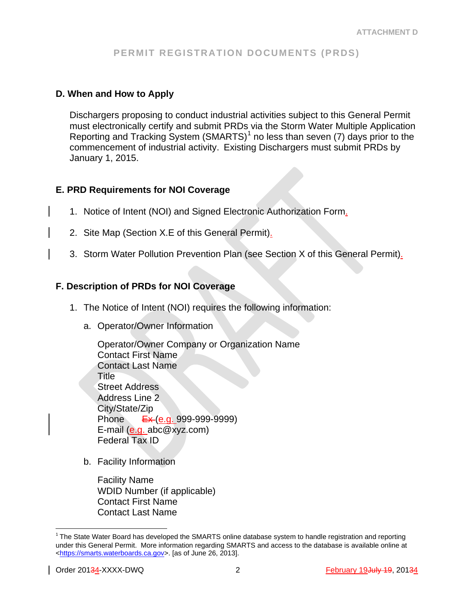### **D. When and How to Apply**

Dischargers proposing to conduct industrial activities subject to this General Permit must electronically certify and submit PRDs via the Storm Water Multiple Application Reporting and Tracking System (SMARTS) $<sup>1</sup>$  $<sup>1</sup>$  $<sup>1</sup>$  no less than seven (7) days prior to the</sup> commencement of industrial activity. Existing Dischargers must submit PRDs by January 1, 2015.

### **E. PRD Requirements for NOI Coverage**

- 1. Notice of Intent (NOI) and Signed Electronic Authorization Form.
- 2. Site Map (Section X.E of this General Permit).
- 3. Storm Water Pollution Prevention Plan (see Section X of this General Permit).

### **F. Description of PRDs for NOI Coverage**

- 1. The Notice of Intent (NOI) requires the following information:
	- a. Operator/Owner Information

Operator/Owner Company or Organization Name Contact First Name Contact Last Name Title Street Address Address Line 2 City/State/Zip Phone <del>Ex (e.g.</del> 999-999-9999) E-mail (e.g. abc@xyz.com) Federal Tax ID

b. Facility Information

Facility Name WDID Number (if applicable) Contact First Name Contact Last Name

<span id="page-1-0"></span> $1$ The State Water Board has developed the SMARTS online database system to handle registration and reporting under this General Permit. More information regarding SMARTS and access to the database is available online at [<https://smarts.waterboards.ca.gov>](https://smarts.waterboards.ca.gov/). [as of June 26, 2013].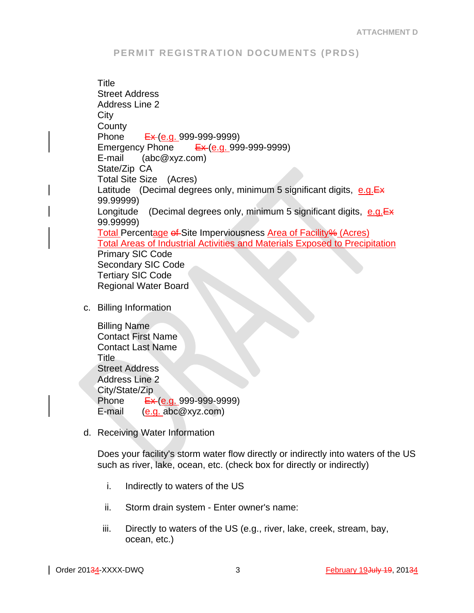**Title** Street Address Address Line 2 **City County** Phone Ex (e.g. 999-999-9999) Emergency Phone  $E_{\mathbf{X}}(e.g. 999-999-9999)$ E-mail (abc@xyz.com) State/Zip CA Total Site Size (Acres) Latitude (Decimal degrees only, minimum 5 significant digits,  $e.g.E \star$ 99.99999) Longitude (Decimal degrees only, minimum 5 significant digits, e.g. Ex 99.99999) Total Percentage of Site Imperviousness Area of Facility% (Acres) Total Areas of Industrial Activities and Materials Exposed to Precipitation Primary SIC Code Secondary SIC Code Tertiary SIC Code Regional Water Board

c. Billing Information

Billing Name Contact First Name Contact Last Name Title Street Address Address Line 2 City/State/Zip Phone <del>Ex (e.g.</del> 999-999-9999) E-mail (e.g. abc@xyz.com)

d. Receiving Water Information

Does your facility's storm water flow directly or indirectly into waters of the US such as river, lake, ocean, etc. (check box for directly or indirectly)

- i. Indirectly to waters of the US
- ii. Storm drain system Enter owner's name:
- iii. Directly to waters of the US (e.g., river, lake, creek, stream, bay, ocean, etc.)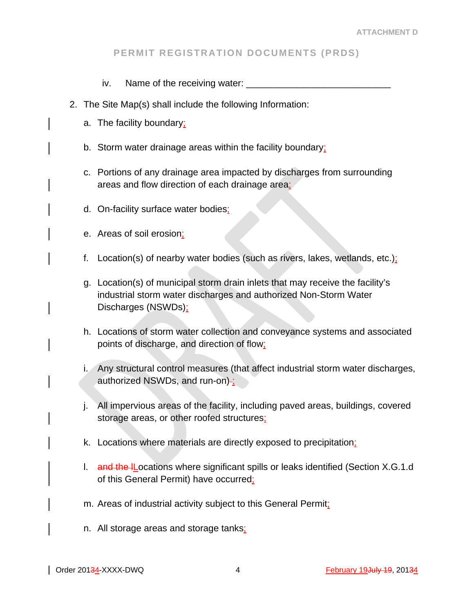- iv. Name of the receiving water:
- 2. The Site Map(s) shall include the following Information:
	- a. The facility boundary;
	- b. Storm water drainage areas within the facility boundary;
	- c. Portions of any drainage area impacted by discharges from surrounding areas and flow direction of each drainage area;
	- d. On-facility surface water bodies;
	- e. Areas of soil erosion;
	- f. Location(s) of nearby water bodies (such as rivers, lakes, wetlands, etc.);
	- g. Location(s) of municipal storm drain inlets that may receive the facility's industrial storm water discharges and authorized Non-Storm Water Discharges (NSWDs);
	- h. Locations of storm water collection and conveyance systems and associated points of discharge, and direction of flow;
	- i. Any structural control measures (that affect industrial storm water discharges, authorized NSWDs, and run-on)-;
	- j. All impervious areas of the facility, including paved areas, buildings, covered storage areas, or other roofed structures;
	- k. Locations where materials are directly exposed to precipitation;
	- I. and the IL ocations where significant spills or leaks identified (Section X.G.1.d of this General Permit) have occurred;
	- m. Areas of industrial activity subject to this General Permit;
	- n. All storage areas and storage tanks;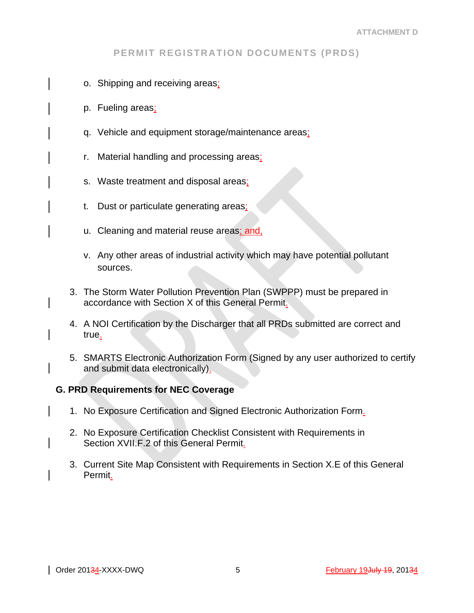- o. Shipping and receiving areas;
- p. Fueling areas;
- q. Vehicle and equipment storage/maintenance areas;
- r. Material handling and processing areas;
- s. Waste treatment and disposal areas;
- t. Dust or particulate generating areas;
- u. Cleaning and material reuse areas; and,
- v. Any other areas of industrial activity which may have potential pollutant sources.
- 3. The Storm Water Pollution Prevention Plan (SWPPP) must be prepared in accordance with Section X of this General Permit.
- 4. A NOI Certification by the Discharger that all PRDs submitted are correct and true.
- 5. SMARTS Electronic Authorization Form (Signed by any user authorized to certify and submit data electronically).

### **G. PRD Requirements for NEC Coverage**

- 1. No Exposure Certification and Signed Electronic Authorization Form.
- 2. No Exposure Certification Checklist Consistent with Requirements in Section XVII.F.2 of this General Permit.
- 3. Current Site Map Consistent with Requirements in Section X.E of this General Permit.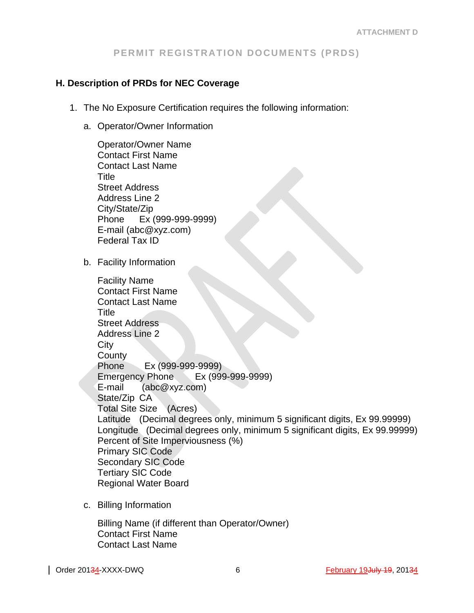### **H. Description of PRDs for NEC Coverage**

- 1. The No Exposure Certification requires the following information:
	- a. Operator/Owner Information

Operator/Owner Name Contact First Name Contact Last Name Title Street Address Address Line 2 City/State/Zip Phone Ex (999-999-9999) E-mail (abc@xyz.com) Federal Tax ID b. Facility Information Facility Name Contact First Name Contact Last Name Title Street Address Address Line 2 City **County** Phone Ex (999-999-9999) Emergency Phone Ex (999-999-9999) E-mail (abc@xyz.com) State/Zip CA Total Site Size (Acres) Latitude (Decimal degrees only, minimum 5 significant digits, Ex 99.99999) Longitude (Decimal degrees only, minimum 5 significant digits, Ex 99.99999) Percent of Site Imperviousness (%) Primary SIC Code Secondary SIC Code Tertiary SIC Code Regional Water Board

c. Billing Information

Billing Name (if different than Operator/Owner) Contact First Name Contact Last Name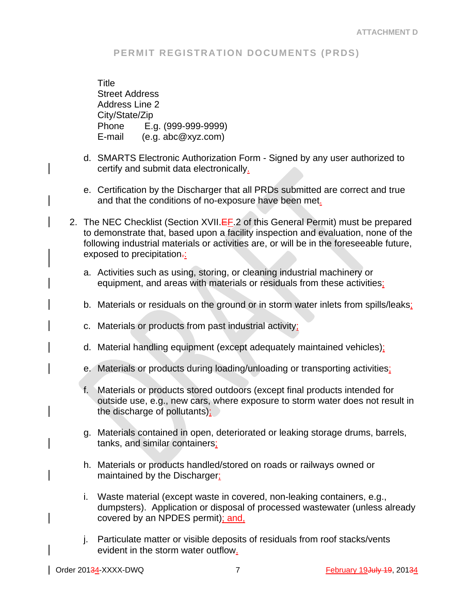**Title** Street Address Address Line 2 City/State/Zip Phone E.g. (999-999-9999) E-mail (e.g. abc@xyz.com)

- d. SMARTS Electronic Authorization Form Signed by any user authorized to certify and submit data electronically.
- e. Certification by the Discharger that all PRDs submitted are correct and true and that the conditions of no-exposure have been met.
- 2. The NEC Checklist (Section XVII.EF.2 of this General Permit) must be prepared to demonstrate that, based upon a facility inspection and evaluation, none of the following industrial materials or activities are, or will be in the foreseeable future, exposed to precipitation-:
	- a. Activities such as using, storing, or cleaning industrial machinery or equipment, and areas with materials or residuals from these activities;
	- b. Materials or residuals on the ground or in storm water inlets from spills/leaks;
	- c. Materials or products from past industrial activity;
	- d. Material handling equipment (except adequately maintained vehicles);
	- e. Materials or products during loading/unloading or transporting activities;
	- f. Materials or products stored outdoors (except final products intended for outside use, e.g., new cars, where exposure to storm water does not result in the discharge of pollutants);
	- g. Materials contained in open, deteriorated or leaking storage drums, barrels, tanks, and similar containers;
	- h. Materials or products handled/stored on roads or railways owned or maintained by the Discharger;
	- i. Waste material (except waste in covered, non-leaking containers, e.g., dumpsters). Application or disposal of processed wastewater (unless already covered by an NPDES permit); and,
	- j. Particulate matter or visible deposits of residuals from roof stacks/vents evident in the storm water outflow.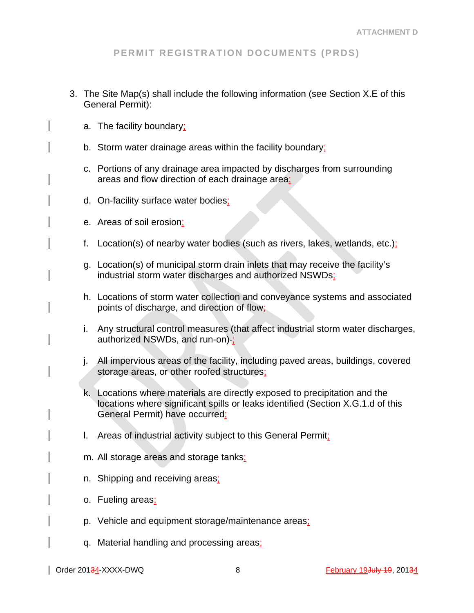- 3. The Site Map(s) shall include the following information (see Section X.E of this General Permit):
	- a. The facility boundary;
	- b. Storm water drainage areas within the facility boundary;
	- c. Portions of any drainage area impacted by discharges from surrounding areas and flow direction of each drainage area;
	- d. On-facility surface water bodies;
	- e. Areas of soil erosion;
	- f. Location(s) of nearby water bodies (such as rivers, lakes, wetlands, etc.);
	- g. Location(s) of municipal storm drain inlets that may receive the facility's industrial storm water discharges and authorized NSWDs;
	- h. Locations of storm water collection and conveyance systems and associated points of discharge, and direction of flow;
	- i. Any structural control measures (that affect industrial storm water discharges, authorized NSWDs, and run-on)-;
	- j. All impervious areas of the facility, including paved areas, buildings, covered storage areas, or other roofed structures;
	- k. Locations where materials are directly exposed to precipitation and the locations where significant spills or leaks identified (Section X.G.1.d of this General Permit) have occurred;
	- l. Areas of industrial activity subject to this General Permit;
	- m. All storage areas and storage tanks;
	- n. Shipping and receiving areas;
	- o. Fueling areas;
	- p. Vehicle and equipment storage/maintenance areas;
	- q. Material handling and processing areas;